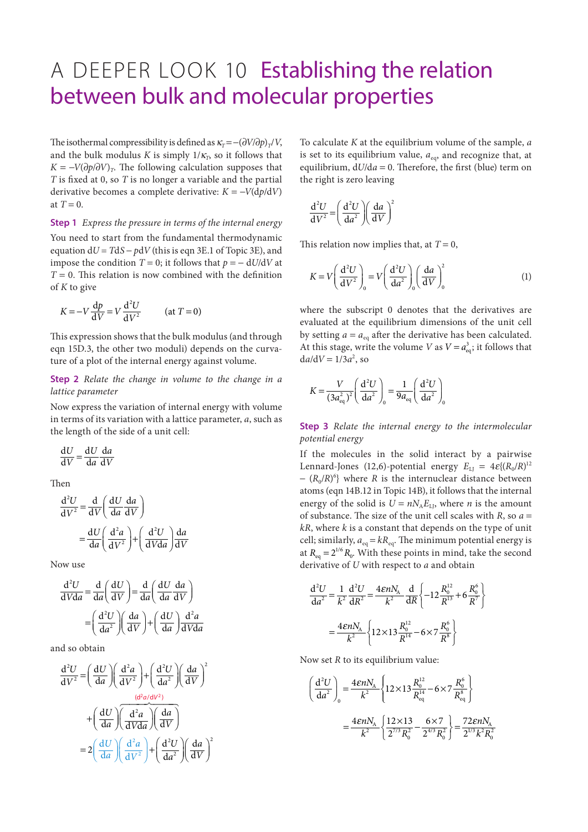## A DEEPER LOOK 10 Establishing the relation between bulk and molecular properties

The isothermal compressibility is defined as  $\kappa_T = -(\partial V/\partial p)_T/V$ , and the bulk modulus *K* is simply  $1/\kappa<sub>T</sub>$ , so it follows that  $K = -V(\partial p/\partial V)$ <sub>T</sub>. The following calculation supposes that *T* is fixed at 0, so *T* is no longer a variable and the partial derivative becomes a complete derivative:  $K = -V(\frac{dp}{dV})$ at  $T = 0$ .

**Step 1** *Express the pressure in terms of the internal energy* You need to start from the fundamental thermodynamic equation d*U* = *T*d*S* − *p*d*V* (this is eqn 3E.1 of Topic 3E), and impose the condition  $T = 0$ ; it follows that  $p = -dU/dV$  at *T* = 0. This relation is now combined with the definition of *K* to give

$$
K = -V \frac{dp}{dV} = V \frac{d^2U}{dV^2} \qquad \text{(at } T = 0\text{)}
$$

This expression shows that the bulk modulus (and through eqn 15D.3, the other two moduli) depends on the curvature of a plot of the internal energy against volume.

## **Step 2** *Relate the change in volume to the change in a lattice parameter*

Now express the variation of internal energy with volume in terms of its variation with a lattice parameter, *a*, such as the length of the side of a unit cell:

$$
\frac{\mathrm{d}U}{\mathrm{d}V} = \frac{\mathrm{d}U}{\mathrm{d}a} \frac{\mathrm{d}a}{\mathrm{d}V}
$$

Then

$$
\frac{d^2U}{dV^2} = \frac{d}{dV} \left( \frac{dU}{da} \frac{da}{dV} \right)
$$

$$
= \frac{dU}{da} \left( \frac{d^2a}{dV^2} \right) + \left( \frac{d^2U}{dVda} \right) \frac{da}{dV}
$$

Now use

$$
\frac{d^2U}{dVda} = \frac{d}{da} \left(\frac{dU}{dV}\right) = \frac{d}{da} \left(\frac{dU}{da}\frac{da}{dV}\right)
$$

$$
= \left(\frac{d^2U}{da^2}\right) \left(\frac{da}{dV}\right) + \left(\frac{dU}{da}\right) \frac{d^2a}{dV da}
$$

and so obtain

$$
\frac{d^2U}{dV^2} = \left(\frac{dU}{da}\right)\left(\frac{d^2a}{dV^2}\right) + \left(\frac{d^2U}{da^2}\right)\left(\frac{da}{dV}\right)^2
$$

$$
+ \left(\frac{dU}{da}\right)\left(\frac{d^2a}{dVda}\right)\left(\frac{da}{dV}\right)
$$

$$
= 2\left(\frac{dU}{da}\right)\left(\frac{d^2a}{dV^2}\right) + \left(\frac{d^2U}{da^2}\right)\left(\frac{da}{dV}\right)^2
$$

To calculate *K* at the equilibrium volume of the sample, *a* is set to its equilibrium value,  $a_{eq}$ , and recognize that, at equilibrium, d*U*/d*a* = 0. Therefore, the first (blue) term on the right is zero leaving

$$
\frac{\mathrm{d}^2 U}{\mathrm{d}V^2} = \left(\frac{\mathrm{d}^2 U}{\mathrm{d}a^2}\right) \left(\frac{\mathrm{d}a}{\mathrm{d}V}\right)^2
$$

This relation now implies that, at  $T = 0$ ,

$$
K = V \left(\frac{d^2 U}{dV^2}\right)_0 = V \left(\frac{d^2 U}{da^2}\right)_0 \left(\frac{da}{dV}\right)_0^2 \tag{1}
$$

where the subscript 0 denotes that the derivatives are evaluated at the equilibrium dimensions of the unit cell by setting  $a = a_{eq}$  after the derivative has been calculated. At this stage, write the volume *V* as  $V = a_{eq}^3$ ; it follows that  $da/dV = 1/3a^2$ , so

$$
K = \frac{V}{(3a_{\text{eq}}^2)^2} \left(\frac{d^2U}{da^2}\right)_0 = \frac{1}{9a_{\text{eq}}} \left(\frac{d^2U}{da^2}\right)_0
$$

**Step 3** *Relate the internal energy to the intermolecular potential energy*

If the molecules in the solid interact by a pairwise Lennard-Jones (12,6)-potential energy  $E_{\text{LJ}} = 4\varepsilon \{ (R_0/R)^{12} \}$ − (*R*0/*R*) 6 } where *R* is the internuclear distance between atoms (eqn 14B.12 in Topic 14B), it follows that the internal energy of the solid is  $U = nN_A E_{LD}$ , where *n* is the amount of substance. The size of the unit cell scales with  $R$ , so  $a =$ *kR*, where *k* is a constant that depends on the type of unit cell; similarly,  $a_{eq} = kR_{eq}$ . The minimum potential energy is at  $R_{\text{eq}} = 2^{1/6} R_0$ . With these points in mind, take the second derivative of *U* with respect to *a* and obtain

$$
\frac{d^2 U}{da^2} = \frac{1}{k^2} \frac{d^2 U}{dR^2} = \frac{4\epsilon n N_A}{k^2} \frac{d}{dR} \left\{ -12 \frac{R_0^{12}}{R^{13}} + 6 \frac{R_0^6}{R^7} \right\}
$$

$$
= \frac{4\epsilon n N_A}{k^2} \left\{ 12 \times 13 \frac{R_0^{12}}{R^{14}} - 6 \times 7 \frac{R_0^6}{R^8} \right\}
$$

Now set *R* to its equilibrium value:

$$
\left(\frac{d^2U}{da^2}\right)_0 = \frac{4\epsilon nN_A}{k^2} \left\{ 12 \times 13 \frac{R_0^{12}}{R_{\text{eq}}^{14}} - 6 \times 7 \frac{R_0^6}{R_{\text{eq}}^8} \right\}
$$

$$
= \frac{4\epsilon nN_A}{k^2} \left\{ \frac{12 \times 13}{2^{7/3} R_0^2} - \frac{6 \times 7}{2^{4/3} R_0^2} \right\} = \frac{72\epsilon nN_A}{2^{1/3} k^2 R_0^2}
$$